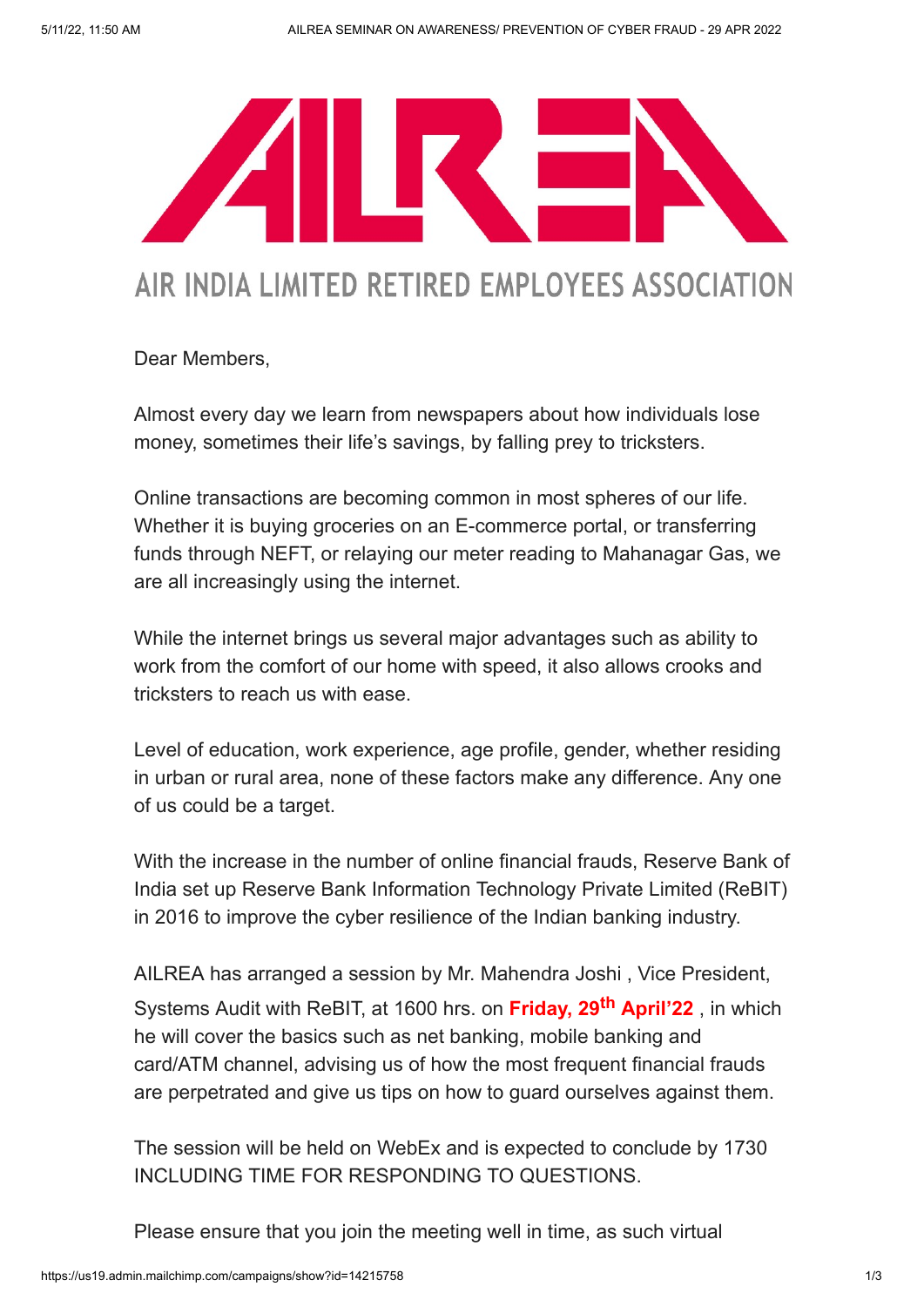

## AIR INDIA LIMITED RETIRED EMPLOYEES ASSOCIATION

Dear Members,

Almost every day we learn from newspapers about how individuals lose money, sometimes their life's savings, by falling prey to tricksters.

Online transactions are becoming common in most spheres of our life. Whether it is buying groceries on an E-commerce portal, or transferring funds through NEFT, or relaying our meter reading to Mahanagar Gas, we are all increasingly using the internet.

While the internet brings us several major advantages such as ability to work from the comfort of our home with speed, it also allows crooks and tricksters to reach us with ease.

Level of education, work experience, age profile, gender, whether residing in urban or rural area, none of these factors make any difference. Any one of us could be a target.

With the increase in the number of online financial frauds, Reserve Bank of India set up Reserve Bank Information Technology Private Limited (ReBIT) in 2016 to improve the cyber resilience of the Indian banking industry.

AILREA has arranged a session by Mr. Mahendra Joshi , Vice President, Systems Audit with ReBIT, at 1600 hrs. on Friday, 29<sup>th</sup> April'22, in which he will cover the basics such as net banking, mobile banking and card/ATM channel, advising us of how the most frequent financial frauds are perpetrated and give us tips on how to guard ourselves against them.

The session will be held on WebEx and is expected to conclude by 1730 INCLUDING TIME FOR RESPONDING TO QUESTIONS.

Please ensure that you join the meeting well in time, as such virtual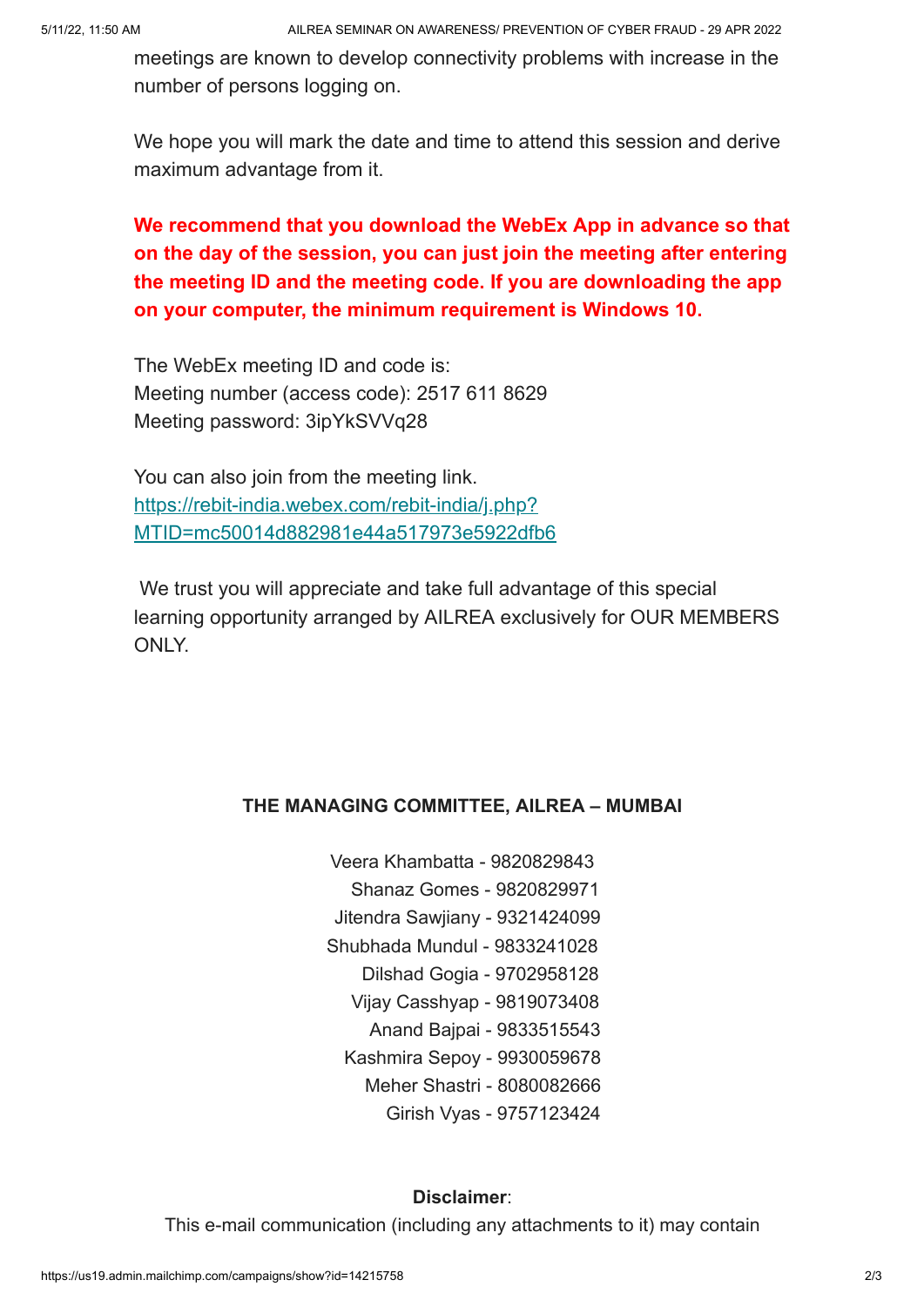meetings are known to develop connectivity problems with increase in the number of persons logging on.

We hope you will mark the date and time to attend this session and derive maximum advantage from it.

## We recommend that you download the WebEx App in advance so that on the day of the session, you can just join the meeting after entering the meeting ID and the meeting code. If you are downloading the app on your computer, the minimum requirement is Windows 10.

The WebEx meeting ID and code is: Meeting number (access code): 2517 611 8629 Meeting password: 3ipYkSVVq28

You can also join from the meeting link. https://rebit-india.webex.com/rebit-india/j.php? [MTID=mc50014d882981e44a517973e5922dfb6](https://rebit-india.webex.com/rebit-india/j.php?MTID=mc50014d882981e44a517973e5922dfb6)

We trust you will appreciate and take full advantage of this special learning opportunity arranged by AILREA exclusively for OUR MEMBERS ONLY.

## THE MANAGING COMMITTEE, AILREA – MUMBAI

- Veera Khambatta 9820829843 Shanaz Gomes - 9820829971 Jitendra Sawjiany - 9321424099 Shubhada Mundul - 9833241028 Dilshad Gogia - 9702958128
	- Vijay Casshyap 9819073408
	- Anand Bajpai 9833515543
	- Kashmira Sepoy 9930059678
		- Meher Shastri 8080082666
			- Girish Vyas 9757123424

## Disclaimer:

This e-mail communication (including any attachments to it) may contain